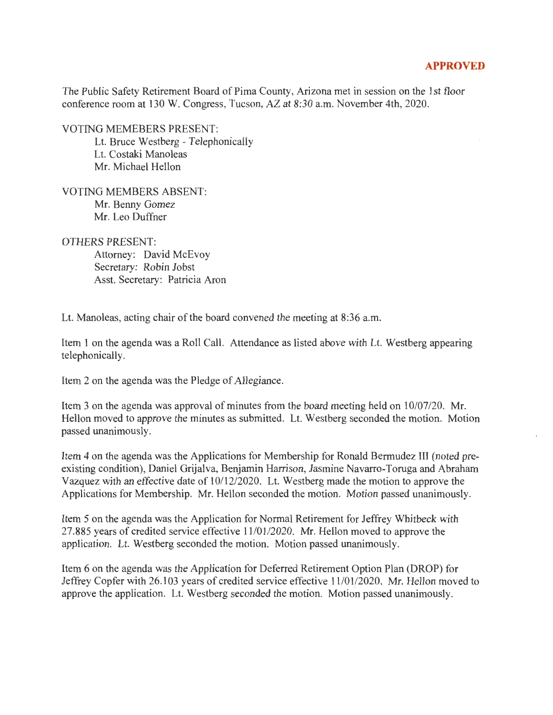## **APPROVED**

The Public Safety Retirement Board of Pima County, Arizona met in session on the 1st floor conference room at 130 W. Congress, Tucson, AZ at 8:30 a.m. November 4th, 2020.

VOTING MEMEBERS PRESENT:

Lt. Bruce Westberg - Telephonically Lt. Costaki Manoleas Mr. Michael Hellon

VOTING MEMBERS ABSENT: Mr. Benny Gomez Mr. Leo Duffner

OTHERS PRESENT:

Attorney: David McEvoy Secretary: Robin Jobst Asst. Secretary: Patricia Aron

Lt. Manoleas, acting chair of the board convened the meeting at 8:36 a.m.

Item 1 on the agenda was a Roll Call. Attendance as listed above with Lt. Westberg appearing telephonically.

Item 2 on the agenda was the Pledge of Allegiance.

Item 3 on the agenda was approval of minutes from the board meeting held on  $10/07/20$ . Mr. Bellon moved to approve the minutes as submitted. Lt. Westberg seconded the motion. Motion passed unanimously.

Item 4 on the agenda was the Applications for Membership for Ronald Bermudez III (noted preexisting condition), Daniel Grijalva, Benjamin Harrison, Jasmine Navarro-Toruga and Abraham Vazquez with an effective date of 10/12/2020. Lt. Westberg made the motion to approve the Applications for Membership. Mr. Hellon seconded the motion. Motion passed unanimously.

Item 5 on the agenda was the Application for Normal Retirement for Jeffrey Whitbeck with 27.885 years of credited service effective 11 /01/2020. Mr. Hellon moved to approve the application. Lt. Westberg seconded the motion. Motion passed unanimously.

Item 6 on the agenda was the Application for Deferred Retirement Option Plan (DROP) for Jeffrey Copfer with 26.103 years of credited service effective 11 /01/2020. Mr. Hellon moved to approve the application. Lt. Westberg seconded the motion. Motion passed unanimously.